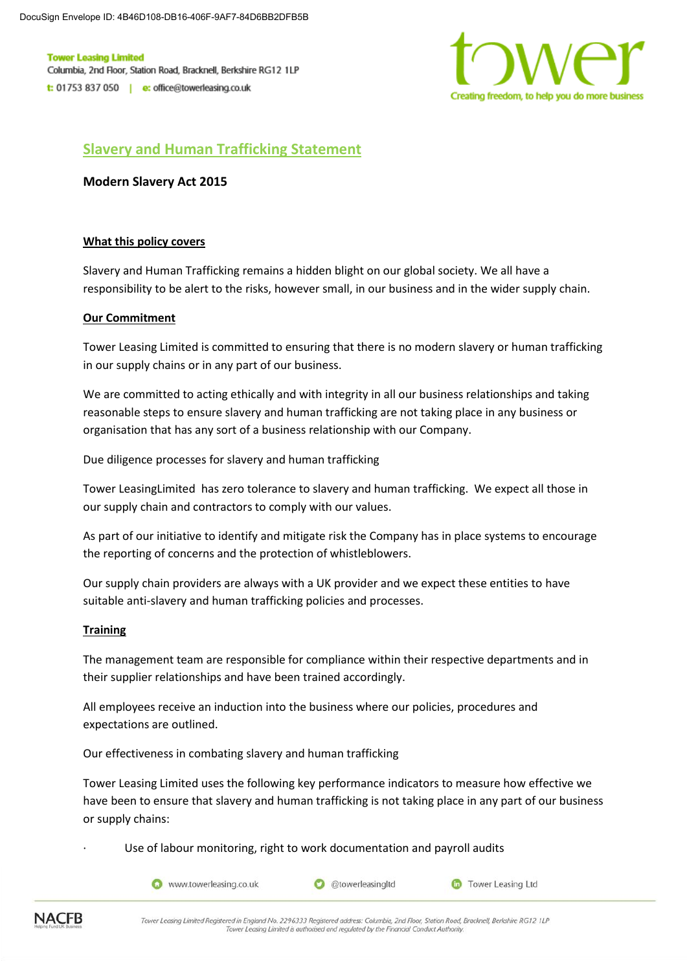**Tower Leasing Limited** Columbia, 2nd Floor, Station Road, Bracknell, Berkshire RG12 1LP t: 01753 837 050 | e: office@towerleasing.co.uk



# **Slavery and Human Trafficking Statement**

**Modern Slavery Act 2015**

## **What this policy covers**

Slavery and Human Trafficking remains a hidden blight on our global society. We all have a responsibility to be alert to the risks, however small, in our business and in the wider supply chain.

## **Our Commitment**

Tower Leasing Limited is committed to ensuring that there is no modern slavery or human trafficking in our supply chains or in any part of our business.

We are committed to acting ethically and with integrity in all our business relationships and taking reasonable steps to ensure slavery and human trafficking are not taking place in any business or organisation that has any sort of a business relationship with our Company.

Due diligence processes for slavery and human trafficking

Tower LeasingLimited has zero tolerance to slavery and human trafficking. We expect all those in our supply chain and contractors to comply with our values.

As part of our initiative to identify and mitigate risk the Company has in place systems to encourage the reporting of concerns and the protection of whistleblowers.

Our supply chain providers are always with a UK provider and we expect these entities to have suitable anti-slavery and human trafficking policies and processes.

# **Training**

The management team are responsible for compliance within their respective departments and in their supplier relationships and have been trained accordingly.

All employees receive an induction into the business where our policies, procedures and expectations are outlined.

Our effectiveness in combating slavery and human trafficking

Tower Leasing Limited uses the following key performance indicators to measure how effective we have been to ensure that slavery and human trafficking is not taking place in any part of our business or supply chains:

Use of labour monitoring, right to work documentation and payroll audits



C @towerleasingItd

**Co** Tower Leasing Ltd



Tower Leasing Limited Registered in England No. 2296333 Registered address: Columbia. 2nd Floor, Station Road, Bracknell, Berkshire RG12, 1LP Tower Leasing Limited is authorised and regulated by the Financial Conduct Authority.